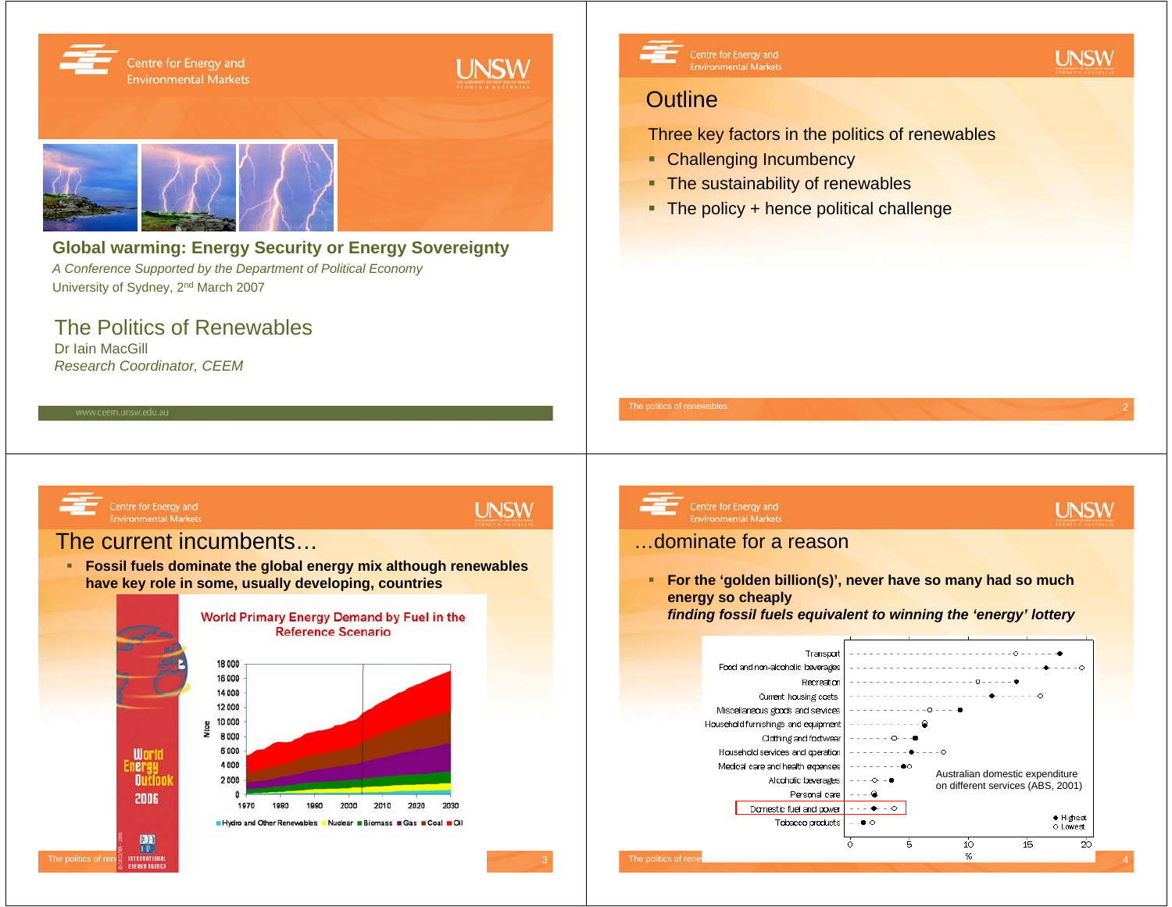

**have key role in some, usually developing, countries**





 **For the 'golden billion(s)', never have so many had so much energy so cheaply** 

*finding fossil fuels equivalent to winning the 'energy' lottery*

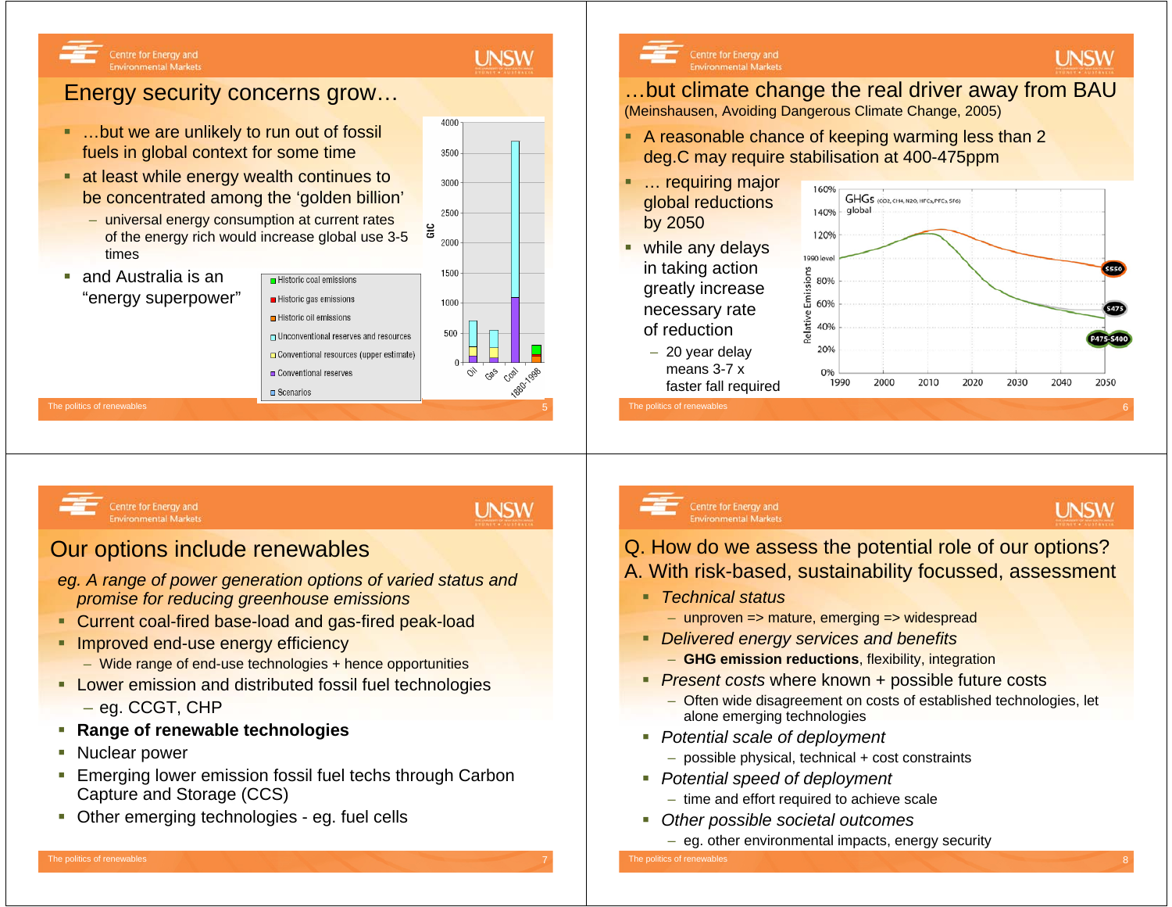# **UNSW**

#### Centre for Energy and **Environmental Markets**

## Energy security concerns grow…

- …but we are unlikely to run out of fossil fuels in global context for some time
- at least while energy wealth continues to be concentrated among the 'golden billion'
	- universal energy consumption at current rates of the energy rich would increase global use 3-5 times

 $\blacksquare$  Historic coal emissions

Historic gas emissions

Historic oil emissions

Conventional reserves

**B** Scenarios

г and Australia is an"energy superpower"



#### Centre for Energy and **Environmental Market**

#### …but climate change the real driver away from BAU (Meinshausen, Avoiding Dangerous Climate Change, 2005)

- A reasonable chance of keeping warming less than 2 deg.C may require stabilisation at 400-475ppm
- … requiring major global reductions by 2050
- **•** while any delays in taking action greatly increase necessary rate of reduction
	- 20 year delay means 3-7 x faster fall required



**UNSW** 

**UNSW** 

The politics of renewables



## **UNSW**

### Our options include renewables

- *eg. A range of power generation options of varied status and promise for reducing greenhouse emissions*
- Current coal-fired base-load and gas-fired peak-load
- **Improved end-use energy efficiency** 
	- Wide range of end-use technologies + hence opportunities
- **Lower emission and distributed fossil fuel technologies** – eg. CCGT, CHP
- **Range of renewable technologies**
- Г Nuclear power
- a. Emerging lower emission fossil fuel techs through Carbon Capture and Storage (CCS)
- **Deally 1** Other emerging technologies eg. fuel cells

#### Centre for Energy and **Environmental Markets**

# Q. How do we assess the potential role of our options?

- A. With risk-based, sustainability focussed, assessment
	- *Technical status*
		- unproven => mature, emerging => widespread
	- *Delivered energy services and benefits*
		- **GHG emission reductions**, flexibility, integration
	- *Present costs* where known + possible future costs
		- Often wide disagreement on costs of established technologies, let alone emerging technologies
	- *Potential scale of deployment* 
		- possible physical, technical + cost constraints
	- *Potential speed of deployment*
		- time and effort required to achieve scale
	- *Other possible societal outcomes*
		- eg. other environmental impacts, energy security

he politics of renewables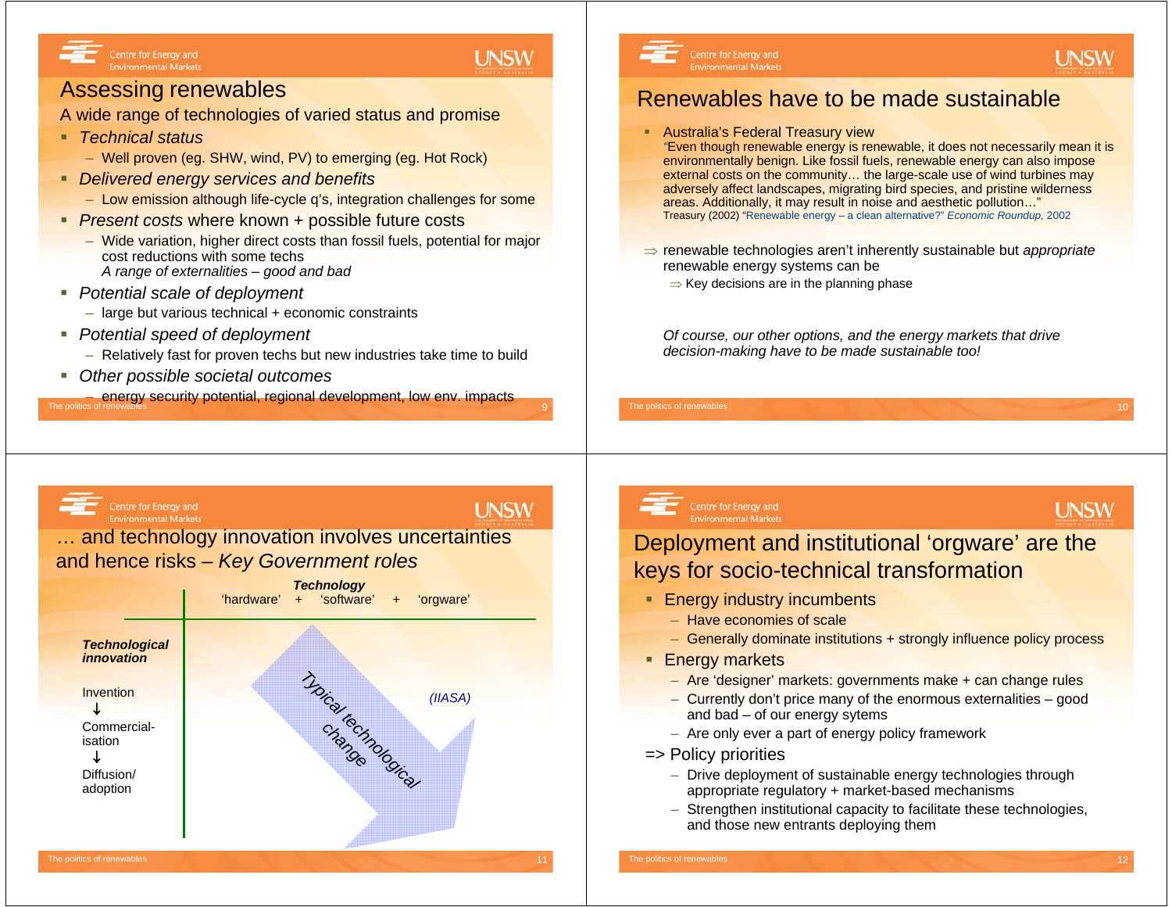### **UNSW**

**UNSW** 

#### Assessing renewables

Centre for Energy and

**Environmental Markets** 

A wide range of technologies of varied status and promise

- *Technical status*
	- Well proven (eg. SHW, wind, PV) to emerging (eg. Hot Rock)
- *Delivered energy services and benefits*
	- Low emission although life-cycle q's, integration challenges for some
- *Present costs* where known + possible future costs
	- Wide variation, higher direct costs than fossil fuels, potential for major cost reductions with some techs*A range of externalities – good and bad*
- *Potential scale of deployment* 
	- large but various technical + economic constraints
- *Potential speed of deployment*
	- Relatively fast for proven techs but new industries take time to build
- *Other possible societal outcomes*

The politics of renewables 9energy security potential, regional development, low env. impacts<br>f renewables The politics of renewables



Renewables have to be made sustainable

Australia's Federal Treasury view

Centre for Energy and

**Environmental Markets** 

⇒ Key decisions are in the planning phase

- *"*Even though renewable energy is renewable, it does not necessarily mean it is environmentally benign. Like fossil fuels, renewable energy can also impose external costs on the community... the large-scale use of wind turbines may adversely affect landscapes, migrating bird species, and pristine wilderness areas. Additionally, it may result in noise and aesthetic pollution…" Treasury (2002) "Renewable energy – a clean alternative?" *Economic Roundup,* 2002
- ⇒ renewable technologies aren't inherently sustainable but *appropriate* renewable energy systems can be
	- *Of course, our other options, and the energy markets that drive decision-making have to be made sustainable too!*

#### Centre for Energy and **Environmental Markets**

#### … and technology innovation involves uncertainties and hence risks – *Key Government roles*



# **Centre for Energy and<br>Environmental Markets**

## **UNSW**

**UNSW** 

#### Deployment and institutional 'orgware' are the keys for socio-technical transformation

- Energy industry incumbents
	- Have economies of scale
	- Generally dominate institutions + strongly influence policy process
- **Energy markets** 
	- Are 'designer' markets: governments make + can change rules
	- Currently don't price many of the enormous externalities good and bad – of our energy sytems
	- Are only ever a part of energy policy framework
- => Policy priorities
	- Drive deployment of sustainable energy technologies through appropriate regulatory + market-based mechanisms
	- Strengthen institutional capacity to facilitate these technologies, and those new entrants deploying them